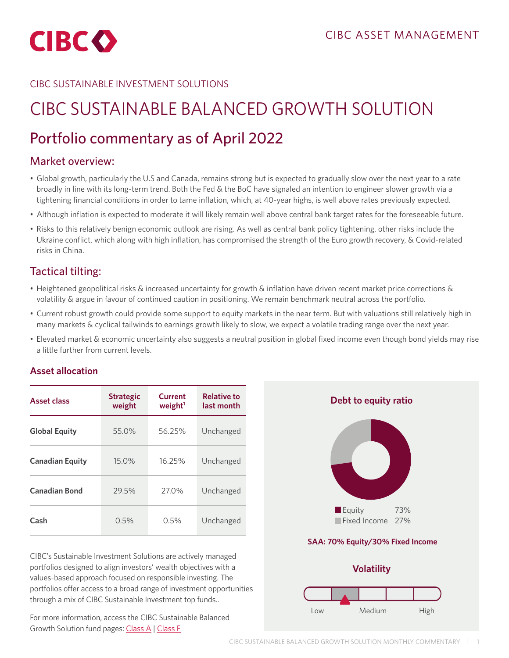

### CIBC SUSTAINABLE INVESTMENT SOLUTIONS

# CIBC SUSTAINABLE BALANCED GROWTH SOLUTION

# Portfolio commentary as of April 2022

## Market overview:

- Global growth, particularly the U.S and Canada, remains strong but is expected to gradually slow over the next year to a rate broadly in line with its long-term trend. Both the Fed & the BoC have signaled an intention to engineer slower growth via a tightening financial conditions in order to tame inflation, which, at 40-year highs, is well above rates previously expected.
- Although inflation is expected to moderate it will likely remain well above central bank target rates for the foreseeable future.
- Risks to this relatively benign economic outlook are rising. As well as central bank policy tightening, other risks include the Ukraine conflict, which along with high inflation, has compromised the strength of the Euro growth recovery, & Covid-related risks in China.

# Tactical tilting:

- Heightened geopolitical risks & increased uncertainty for growth & inflation have driven recent market price corrections & volatility & argue in favour of continued caution in positioning. We remain benchmark neutral across the portfolio.
- Current robust growth could provide some support to equity markets in the near term. But with valuations still relatively high in many markets & cyclical tailwinds to earnings growth likely to slow, we expect a volatile trading range over the next year.
- Elevated market & economic uncertainty also suggests a neutral position in global fixed income even though bond yields may rise a little further from current levels.

#### **Asset allocation**

| <b>Asset class</b>     | <b>Strategic</b><br>weight | Current<br>weight <sup>1</sup> | <b>Relative to</b><br>last month |
|------------------------|----------------------------|--------------------------------|----------------------------------|
| <b>Global Equity</b>   | 55.0%                      | 56.25%                         | Unchanged                        |
| <b>Canadian Equity</b> | 15.0%                      | 16.25%                         | Unchanged                        |
| <b>Canadian Bond</b>   | 29.5%                      | 27.0%                          | Unchanged                        |
| Cash                   | 0.5%                       | 0.5%                           | Unchanged                        |

CIBC's Sustainable Investment Solutions are actively managed portfolios designed to align investors' wealth objectives with a values-based approach focused on responsible investing. The portfolios offer access to a broad range of investment opportunities through a mix of CIBC Sustainable Investment top funds..

For more information, access the CIBC Sustainable Balanced Growth Solution fund pages: [Class A](https://www.cibc.com/en/personal-banking/investments/mutual-funds/sustainable-investment-strategies/balanced-growth-solution.html) | [Class F](https://www.cibc.com/en/personal-banking/investments/mutual-funds/sustainable-investment-strategies/balanced-growth-solution.html
)